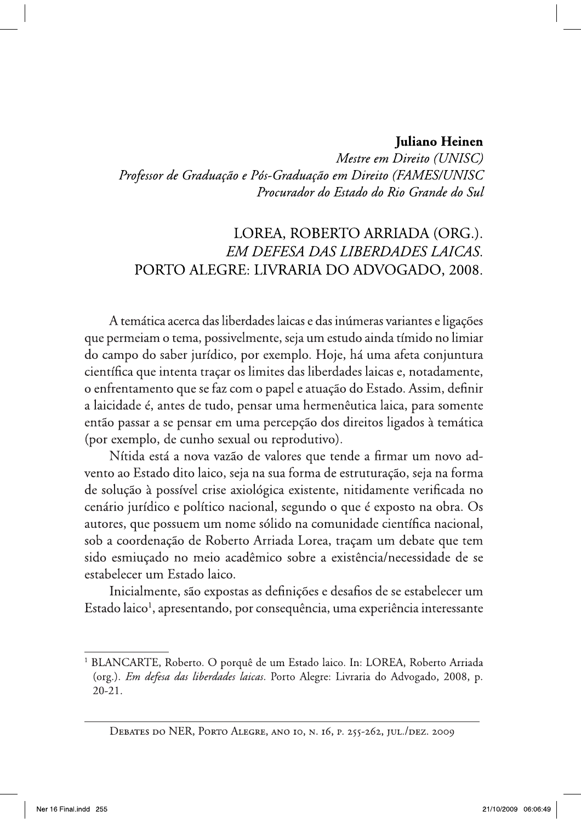## Juliano Heinen

Mestre em Direito (UNISC) Professor de Graduação e Pós-Graduação em Direito (FAMES/UNISC Procurador do Estado do Rio Grande do Sul

## LOREA, ROBERTO ARRIADA (ORG.). EM DEFESA DAS LIBERDADES LAICAS. PORTO ALEGRE: LIVRARIA DO ADVOGADO, 2008.

A temática acerca das liberdades laicas e das inúmeras variantes e ligações que permeiam o tema, possivelmente, seja um estudo ainda tímido no limiar do campo do saber jurídico, por exemplo. Hoje, há uma afeta conjuntura científica que intenta traçar os limites das liberdades laicas e, notadamente, o enfrentamento que se faz com o papel e atuação do Estado. Assim, definir a laicidade é, antes de tudo, pensar uma hermenêutica laica, para somente então passar a se pensar em uma percepção dos direitos ligados à temática (por exemplo, de cunho sexual ou reprodutivo).

Nítida está a nova vazão de valores que tende a firmar um novo advento ao Estado dito laico, seja na sua forma de estruturação, seja na forma de solução à possível crise axiológica existente, nitidamente verificada no cenário jurídico e político nacional, segundo o que é exposto na obra. Os autores, que possuem um nome sólido na comunidade científica nacional, sob a coordenação de Roberto Arriada Lorea, traçam um debate que tem sido esmiuçado no meio acadêmico sobre a existência/necessidade de se estabelecer um Estado laico.

Inicialmente, são expostas as definições e desafios de se estabelecer um Estado laico<sup>1</sup>, apresentando, por consequência, uma experiência interessante

<sup>&</sup>lt;sup>1</sup> BLANCARTE, Roberto. O porquê de um Estado laico. In: LOREA, Roberto Arriada (org.). Em defesa das liberdades laicas. Porto Alegre: Livraria do Advogado, 2008, p.  $20 - 21$ .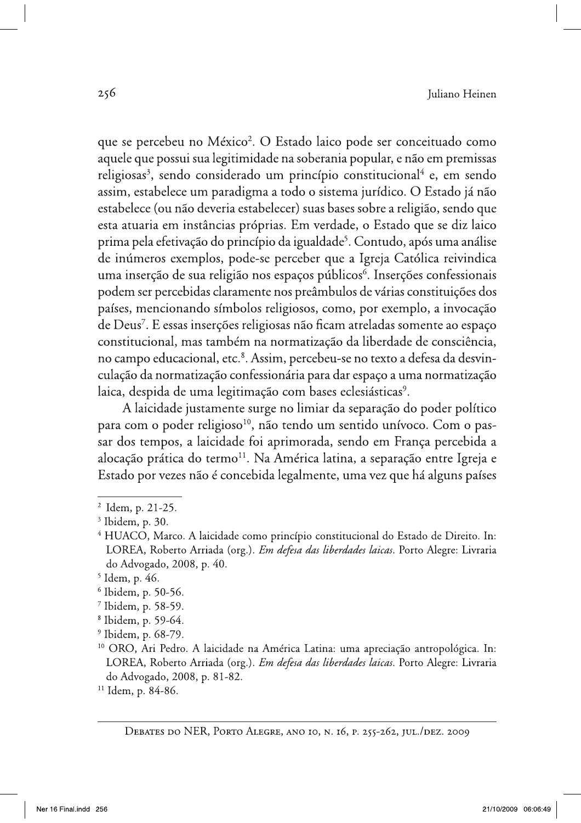que se percebeu no México<sup>2</sup>. O Estado laico pode ser conceituado como aquele que possui sua legitimidade na soberania popular, e não em premissas religiosas<sup>3</sup>, sendo considerado um princípio constitucional<sup>4</sup> e, em sendo assim, estabelece um paradigma a todo o sistema jurídico. O Estado já não estabelece (ou não deveria estabelecer) suas bases sobre a religião, sendo que esta atuaria em instâncias próprias. Em verdade, o Estado que se diz laico prima pela efetivação do princípio da igualdade<sup>5</sup>. Contudo, após uma análise de inúmeros exemplos, pode-se perceber que a Igreja Católica reivindica uma inserção de sua religião nos espaços públicos<sup>6</sup>. Inserções confessionais podem ser percebidas claramente nos preâmbulos de várias constituições dos países, mencionando símbolos religiosos, como, por exemplo, a invocação de Deus<sup>7</sup>. E essas inserções religiosas não ficam atreladas somente ao espaço constitucional, mas também na normatização da liberdade de consciência, no campo educacional, etc.<sup>8</sup>. Assim, percebeu-se no texto a defesa da desvinculação da normatização confessionária para dar espaço a uma normatização laica, despida de uma legitimação com bases eclesiásticas<sup>9</sup>.

A laicidade justamente surge no limiar da separação do poder político para com o poder religioso<sup>10</sup>, não tendo um sentido unívoco. Com o passar dos tempos, a laicidade foi aprimorada, sendo em França percebida a alocação prática do termo<sup>11</sup>. Na América latina, a separação entre Igreja e Estado por vezes não é concebida legalmente, uma vez que há alguns países

- <sup>8</sup> Ibidem, p. 59-64.
- $9$  Ibidem, p. 68-79.

<sup>&</sup>lt;sup>2</sup> Idem, p. 21-25.

<sup>&</sup>lt;sup>3</sup> Ibidem, p. 30.

<sup>&</sup>lt;sup>4</sup> HUACO, Marco. A laicidade como princípio constitucional do Estado de Direito. In: LOREA, Roberto Arriada (org.). Em defesa das liberdades laicas. Porto Alegre: Livraria do Advogado, 2008, p. 40.

<sup>&</sup>lt;sup>5</sup> Idem, p. 46.

 $6$  Ibidem, p. 50-56.

<sup>&</sup>lt;sup>7</sup> Ibidem, p. 58-59.

<sup>&</sup>lt;sup>10</sup> ORO, Ari Pedro. A laicidade na América Latina: uma apreciação antropológica. In: LOREA, Roberto Arriada (org.). *Em defesa das liberdades laicas*. Porto Alegre: Livraria do Advogado, 2008, p. 81-82.

<sup>&</sup>lt;sup>11</sup> Idem, p. 84-86.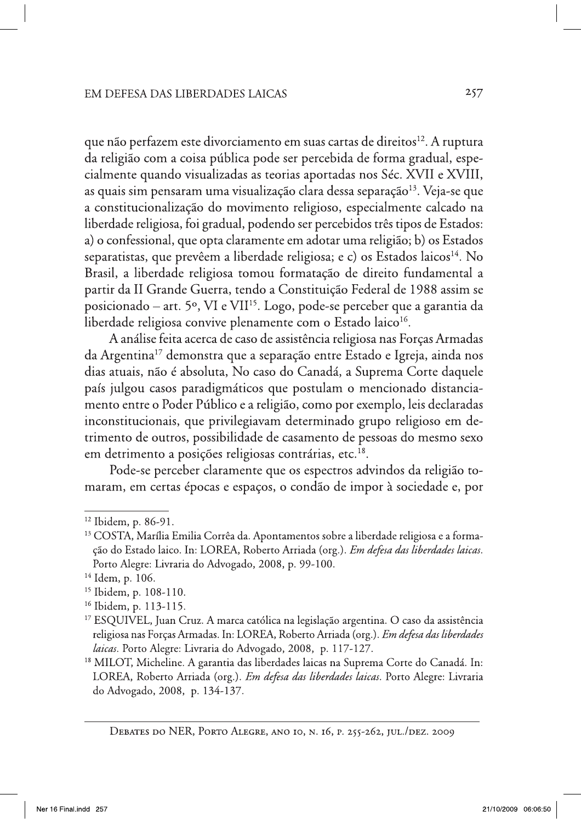que não perfazem este divorciamento em suas cartas de direitos<sup>12</sup>. A ruptura da religião com a coisa pública pode ser percebida de forma gradual, especialmente quando visualizadas as teorias aportadas nos Séc. XVII e XVIII, as quais sim pensaram uma visualização clara dessa separação<sup>13</sup>. Veja-se que a constitucionalização do movimento religioso, especialmente calcado na liberdade religiosa, foi gradual, podendo ser percebidos três tipos de Estados: a) o confessional, que opta claramente em adotar uma religião; b) os Estados separatistas, que prevêem a liberdade religiosa; e c) os Estados laicos<sup>14</sup>. No Brasil, a liberdade religiosa tomou formatação de direito fundamental a partir da II Grande Guerra, tendo a Constituição Federal de 1988 assim se posicionado – art. 5º, VI e VII<sup>15</sup>. Logo, pode-se perceber que a garantia da liberdade religiosa convive plenamente com o Estado laico<sup>16</sup>.

A análise feita acerca de caso de assistência religiosa nas Forças Armadas da Argentina<sup>17</sup> demonstra que a separação entre Estado e Igreja, ainda nos dias atuais, não é absoluta, No caso do Canadá, a Suprema Corte daquele país julgou casos paradigmáticos que postulam o mencionado distanciamento entre o Poder Público e a religião, como por exemplo, leis declaradas inconstitucionais, que privilegiavam determinado grupo religioso em detrimento de outros, possibilidade de casamento de pessoas do mesmo sexo em detrimento a posições religiosas contrárias, etc.<sup>18</sup>.

Pode-se perceber claramente que os espectros advindos da religião tomaram, em certas épocas e espaços, o condão de impor à sociedade e, por

<sup>&</sup>lt;sup>12</sup> Ibidem, p. 86-91.

<sup>&</sup>lt;sup>13</sup> COSTA, Marília Emilia Corrêa da. Apontamentos sobre a liberdade religiosa e a formação do Estado laico. In: LOREA, Roberto Arriada (org.). Em defesa das liberdades laicas. Porto Alegre: Livraria do Advogado, 2008, p. 99-100.

<sup>&</sup>lt;sup>14</sup> Idem, p. 106.

<sup>&</sup>lt;sup>15</sup> Ibidem, p. 108-110.

 $16$  Ibidem, p. 113-115.

<sup>&</sup>lt;sup>17</sup> ESQUIVEL, Juan Cruz. A marca católica na legislação argentina. O caso da assistência religiosa nas Forças Armadas. In: LOREA, Roberto Arriada (org.). *Em defesa das liberdades* laicas. Porto Alegre: Livraria do Advogado, 2008, p. 117-127.

<sup>&</sup>lt;sup>18</sup> MILOT, Micheline. A garantia das liberdades laicas na Suprema Corte do Canadá. In: LOREA, Roberto Arriada (org.). Em defesa das liberdades laicas. Porto Alegre: Livraria do Advogado, 2008, p. 134-137.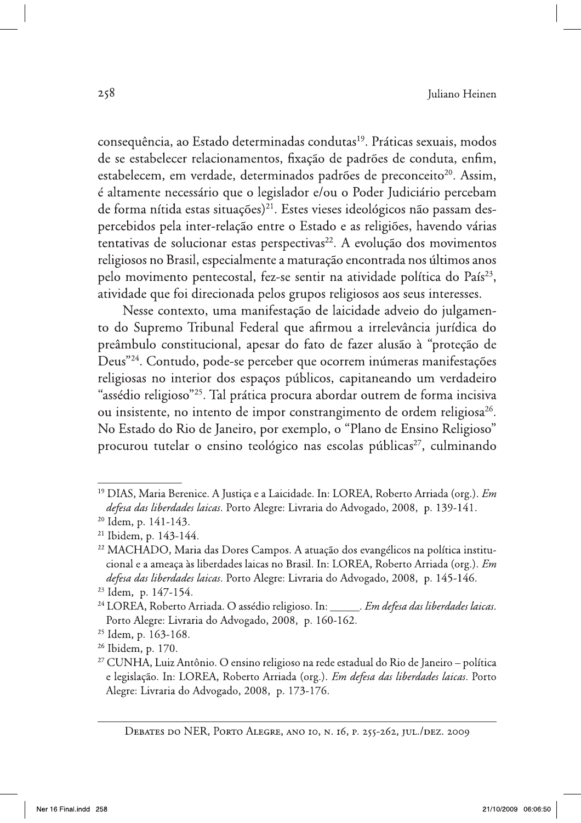consequência, ao Estado determinadas condutas<sup>19</sup>. Práticas sexuais, modos de se estabelecer relacionamentos, fixação de padrões de conduta, enfim, estabelecem, em verdade, determinados padrões de preconceito<sup>20</sup>. Assim, é altamente necessário que o legislador e/ou o Poder Judiciário percebam de forma nítida estas situações)<sup>21</sup>. Estes vieses ideológicos não passam despercebidos pela inter-relação entre o Estado e as religiões, havendo várias tentativas de solucionar estas perspectivas<sup>22</sup>. A evolução dos movimentos religiosos no Brasil, especialmente a maturação encontrada nos últimos anos pelo movimento pentecostal, fez-se sentir na atividade política do País<sup>23</sup>, atividade que foi direcionada pelos grupos religiosos aos seus interesses.

Nesse contexto, uma manifestação de laicidade adveio do julgamento do Supremo Tribunal Federal que afirmou a irrelevância jurídica do preâmbulo constitucional, apesar do fato de fazer alusão à "proteção de Deus"<sup>24</sup>. Contudo, pode-se perceber que ocorrem inúmeras manifestações religiosas no interior dos espaços públicos, capitaneando um verdadeiro "assédio religioso"<sup>25</sup>. Tal prática procura abordar outrem de forma incisiva ou insistente, no intento de impor constrangimento de ordem religiosa<sup>26</sup>. No Estado do Rio de Janeiro, por exemplo, o "Plano de Ensino Religioso" procurou tutelar o ensino teológico nas escolas públicas<sup>27</sup>, culminando

<sup>&</sup>lt;sup>19</sup> DIAS, Maria Berenice. A Justica e a Laicidade. In: LOREA, Roberto Arriada (org.). *Em* defesa das liberdades laicas. Porto Alegre: Livraria do Advogado, 2008, p. 139-141.

<sup>&</sup>lt;sup>20</sup> Idem, p. 141-143.

<sup>&</sup>lt;sup>21</sup> Ibidem, p. 143-144.

<sup>&</sup>lt;sup>22</sup> MACHADO, Maria das Dores Campos. A atuação dos evangélicos na política institucional e a ameaça às liberdades laicas no Brasil. In: LOREA, Roberto Arriada (org.). *Em* defesa das liberdades laicas. Porto Alegre: Livraria do Advogado, 2008, p. 145-146.

<sup>&</sup>lt;sup>23</sup> Idem, p. 147-154.

<sup>&</sup>lt;sup>24</sup> LOREA, Roberto Arriada. O assédio religioso. In: \_\_\_\_\_\_. Em defesa das liberdades laicas. Porto Alegre: Livraria do Advogado, 2008, p. 160-162.

<sup>&</sup>lt;sup>25</sup> Idem, p. 163-168.

<sup>&</sup>lt;sup>26</sup> Ibidem, p. 170.

<sup>&</sup>lt;sup>27</sup> CUNHA, Luiz Antônio. O ensino religioso na rede estadual do Rio de Janeiro – política e legislação. In: LOREA, Roberto Arriada (org.). Em defesa das liberdades laicas. Porto Alegre: Livraria do Advogado, 2008, p. 173-176.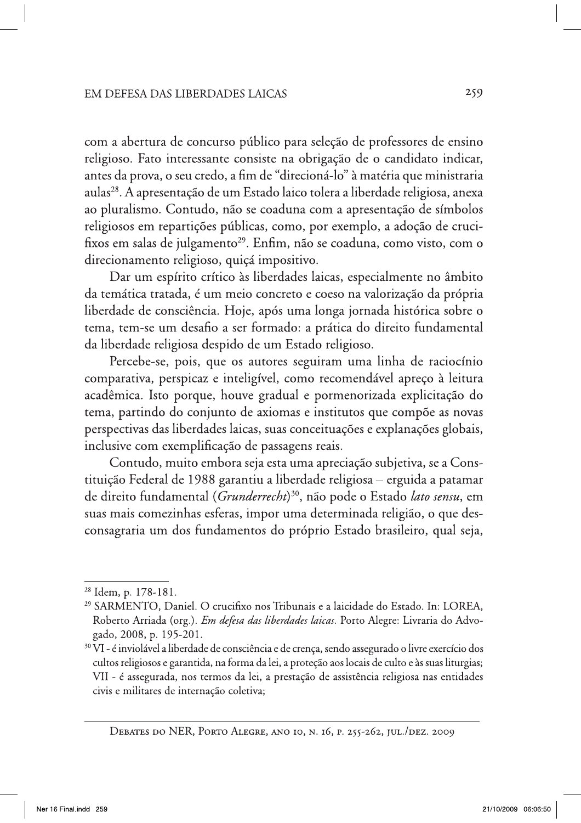com a abertura de concurso público para seleção de professores de ensino religioso. Fato interessante consiste na obrigação de o candidato indicar, antes da prova, o seu credo, a fim de "direcioná-lo" à matéria que ministraria aulas<sup>28</sup>. A apresentação de um Estado laico tolera a liberdade religiosa, anexa ao pluralismo. Contudo, não se coaduna com a apresentação de símbolos religiosos em repartições públicas, como, por exemplo, a adoção de crucifixos em salas de julgamento<sup>29</sup>. Enfim, não se coaduna, como visto, com o direcionamento religioso, quiçá impositivo.

Dar um espírito crítico às liberdades laicas, especialmente no âmbito da temática tratada, é um meio concreto e coeso na valorização da própria liberdade de consciência. Hoje, após uma longa jornada histórica sobre o tema, tem-se um desafio a ser formado: a prática do direito fundamental da liberdade religiosa despido de um Estado religioso.

Percebe-se, pois, que os autores seguiram uma linha de raciocínio comparativa, perspicaz e inteligível, como recomendável apreço à leitura acadêmica. Isto porque, houve gradual e pormenorizada explicitação do tema, partindo do conjunto de axiomas e institutos que compõe as novas perspectivas das liberdades laicas, suas conceituações e explanações globais, inclusive com exemplificação de passagens reais.

Contudo, muito embora seja esta uma apreciação subjetiva, se a Constituição Federal de 1988 garantiu a liberdade religiosa – erguida a patamar de direito fundamental (Grunderrecht)<sup>30</sup>, não pode o Estado lato sensu, em suas mais comezinhas esferas, impor uma determinada religião, o que desconsagraria um dos fundamentos do próprio Estado brasileiro, qual seja,

<sup>&</sup>lt;sup>28</sup> Idem, p. 178-181.

<sup>&</sup>lt;sup>29</sup> SARMENTO, Daniel. O crucifixo nos Tribunais e a laicidade do Estado. In: LOREA, Roberto Arriada (org.). Em defesa das liberdades laicas. Porto Alegre: Livraria do Advogado, 2008, p. 195-201.

<sup>&</sup>lt;sup>30</sup> VI - é inviolável a liberdade de consciência e de crença, sendo assegurado o livre exercício dos cultos religiosos e garantida, na forma da lei, a proteção aos locais de culto e às suas liturgias; VII - é assegurada, nos termos da lei, a prestação de assistência religiosa nas entidades civis e militares de internação coletiva;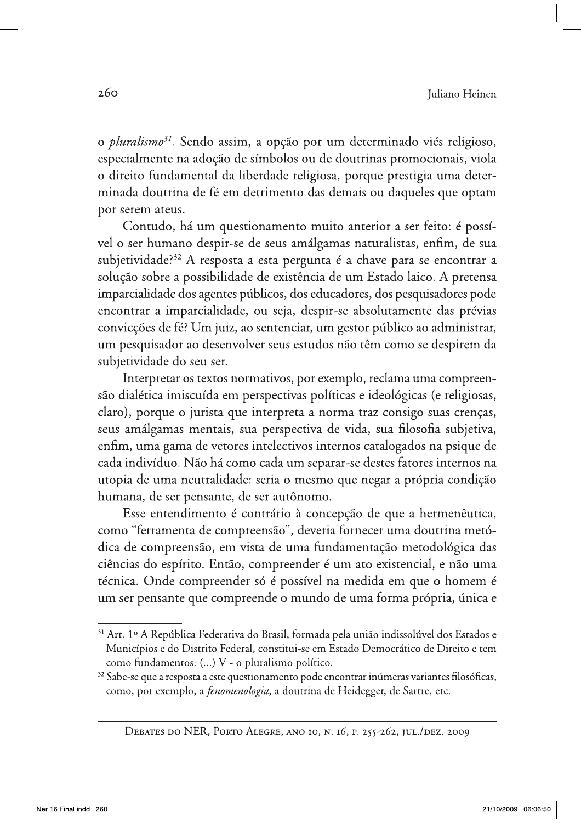o *pluralismo<sup>31</sup>*. Sendo assim, a opção por um determinado viés religioso, especialmente na adoção de símbolos ou de doutrinas promocionais, viola o direito fundamental da liberdade religiosa, porque prestigia uma determinada doutrina de fé em detrimento das demais ou daqueles que optam por serem ateus.

Contudo, há um questionamento muito anterior a ser feito: é possível o ser humano despir-se de seus amálgamas naturalistas, enfim, de sua subjetividade?<sup>32</sup> A resposta a esta pergunta é a chave para se encontrar a solução sobre a possibilidade de existência de um Estado laico. A pretensa imparcialidade dos agentes públicos, dos educadores, dos pesquisadores pode encontrar a imparcialidade, ou seja, despir-se absolutamente das prévias convicções de fé? Um juiz, ao sentenciar, um gestor público ao administrar, um pesquisador ao desenvolver seus estudos não têm como se despirem da subjetividade do seu ser.

Interpretar os textos normativos, por exemplo, reclama uma compreensão dialética imiscuída em perspectivas políticas e ideológicas (e religiosas, claro), porque o jurista que interpreta a norma traz consigo suas crenças, seus amálgamas mentais, sua perspectiva de vida, sua filosofia subjetiva, enfim, uma gama de vetores intelectivos internos catalogados na psique de cada indivíduo. Não há como cada um separar-se destes fatores internos na utopia de uma neutralidade: seria o mesmo que negar a própria condição humana, de ser pensante, de ser autônomo.

Esse entendimento é contrário à concepção de que a hermenêutica, como "ferramenta de compreensão", deveria fornecer uma doutrina metódica de compreensão, em vista de uma fundamentação metodológica das ciências do espírito. Então, compreender é um ato existencial, e não uma técnica. Onde compreender só é possível na medida em que o homem é um ser pensante que compreende o mundo de uma forma própria, única e

<sup>&</sup>lt;sup>31</sup> Art. 1º A República Federativa do Brasil, formada pela união indissolúvel dos Estados e Municípios e do Distrito Federal, constitui-se em Estado Democrático de Direito e tem como fundamentos: (...) V - o pluralismo político.

<sup>&</sup>lt;sup>32</sup> Sabe-se que a resposta a este questionamento pode encontrar inúmeras variantes filosóficas, como, por exemplo, a *fenomenologia*, a doutrina de Heidegger, de Sartre, etc.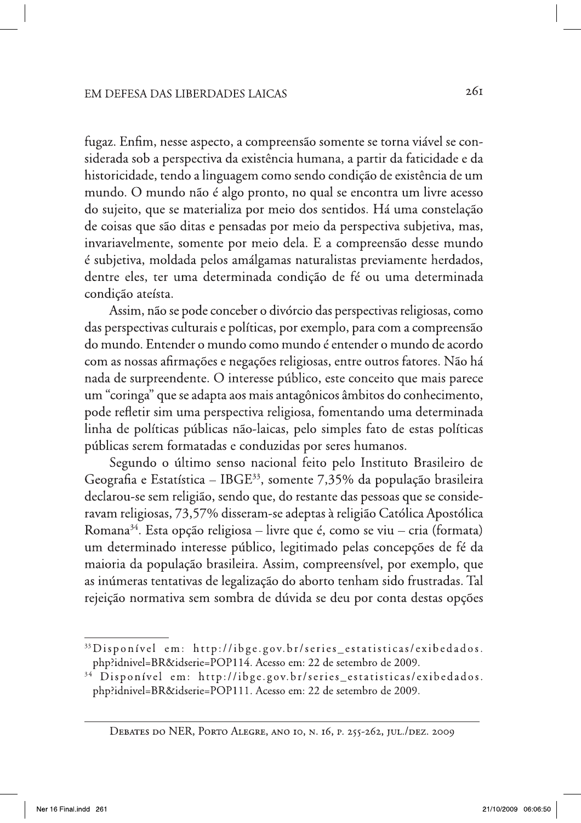fugaz. Enfim, nesse aspecto, a compreensão somente se torna viável se considerada sob a perspectiva da existência humana, a partir da faticidade e da historicidade, tendo a linguagem como sendo condição de existência de um mundo. O mundo não é algo pronto, no qual se encontra um livre acesso do sujeito, que se materializa por meio dos sentidos. Há uma constelação de coisas que são ditas e pensadas por meio da perspectiva subjetiva, mas, invariavelmente, somente por meio dela. E a compreensão desse mundo é subjetiva, moldada pelos amálgamas naturalistas previamente herdados, dentre eles, ter uma determinada condição de fé ou uma determinada condição ateísta.

Assim, não se pode conceber o divórcio das perspectivas religiosas, como das perspectivas culturais e políticas, por exemplo, para com a compreensão do mundo. Entender o mundo como mundo é entender o mundo de acordo com as nossas afirmações e negações religiosas, entre outros fatores. Não há nada de surpreendente. O interesse público, este conceito que mais parece um "coringa" que se adapta aos mais antagônicos âmbitos do conhecimento, pode refletir sim uma perspectiva religiosa, fomentando uma determinada linha de políticas públicas não-laicas, pelo simples fato de estas políticas públicas serem formatadas e conduzidas por seres humanos.

Segundo o último senso nacional feito pelo Instituto Brasileiro de Geografia e Estatística – IBGE<sup>33</sup>, somente 7,35% da população brasileira declarou-se sem religião, sendo que, do restante das pessoas que se consideravam religiosas, 73,57% disseram-se adeptas à religião Católica Apostólica Romana<sup>34</sup>. Esta opção religiosa – livre que é, como se viu – cria (formata) um determinado interesse público, legitimado pelas concepções de fé da maioria da população brasileira. Assim, compreensível, por exemplo, que as inúmeras tentativas de legalização do aborto tenham sido frustradas. Tal rejeição normativa sem sombra de dúvida se deu por conta destas opções

<sup>&</sup>lt;sup>33</sup>Disponível em: http://ibge.gov.br/series\_estatisticas/exibedados. php?idnivel=BR&idserie=POP114. Acesso em: 22 de setembro de 2009.

<sup>&</sup>lt;sup>34</sup> Disponível em: http://ibge.gov.br/series\_estatisticas/exibedados. php?idnivel=BR&idserie=POP111. Acesso em: 22 de setembro de 2009.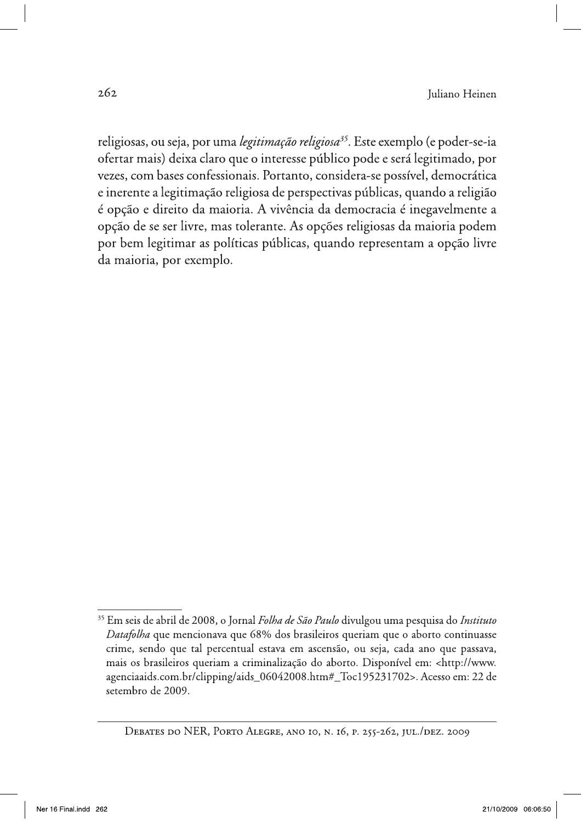religiosas, ou seja, por uma legitimação religiosa<sup>35</sup>. Este exemplo (e poder-se-ia ofertar mais) deixa claro que o interesse público pode e será legitimado, por vezes, com bases confessionais. Portanto, considera-se possível, democrática e inerente a legitimação religiosa de perspectivas públicas, quando a religião é opção e direito da maioria. A vivência da democracia é inegavelmente a opção de se ser livre, mas tolerante. As opções religiosas da maioria podem por bem legitimar as políticas públicas, quando representam a opção livre da maioria, por exemplo.

<sup>&</sup>lt;sup>35</sup> Em seis de abril de 2008, o Jornal Folha de São Paulo divulgou uma pesquisa do Instituto Datafolha que mencionava que 68% dos brasileiros queriam que o aborto continuasse crime, sendo que tal percentual estava em ascensão, ou seja, cada ano que passava, mais os brasileiros queriam a criminalização do aborto. Disponível em: <http://www. agenciaaids.com.br/clipping/aids\_06042008.htm#\_Toc195231702>. Acesso em: 22 de setembro de 2009.

DEBATES DO NER, PORTO ALEGRE, ANO IO, N. 16, P. 255-262, JUL./DEZ. 2009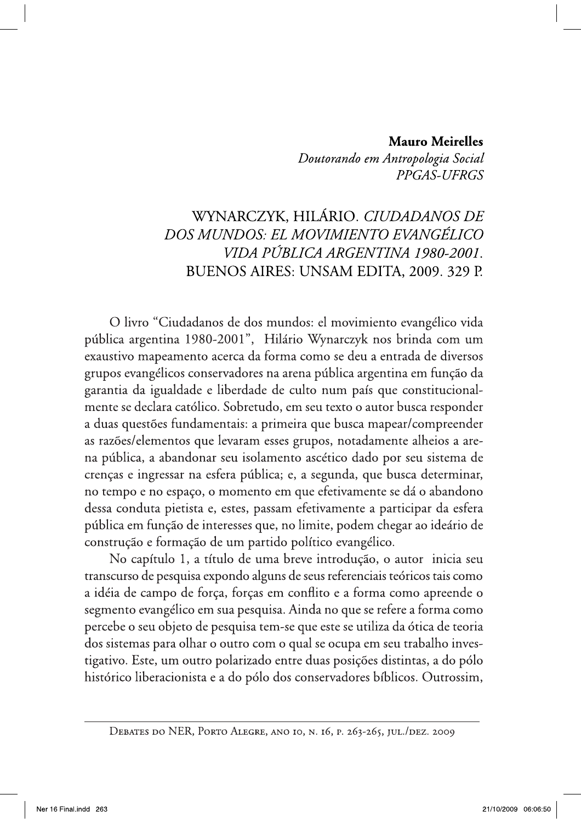## **Mauro Meirelles**

Doutorando em Antropologia Social PPGAS-UFRGS

## WYNARCZYK, HILÁRIO. CIUDADANOS DE DOS MUNDOS: EL MOVIMIENTO EVANGÉLICO VIDA PÚBLICA ARGENTINA 1980-2001. BUENOS AIRES: UNSAM EDITA, 2009. 329 P.

O livro "Ciudadanos de dos mundos: el movimiento evangélico vida pública argentina 1980-2001", Hilário Wynarczyk nos brinda com um exaustivo mapeamento acerca da forma como se deu a entrada de diversos grupos evangélicos conservadores na arena pública argentina em função da garantia da igualdade e liberdade de culto num país que constitucionalmente se declara católico. Sobretudo, em seu texto o autor busca responder a duas questões fundamentais: a primeira que busca mapear/compreender as razões/elementos que levaram esses grupos, notadamente alheios a arena pública, a abandonar seu isolamento ascético dado por seu sistema de crenças e ingressar na esfera pública; e, a segunda, que busca determinar, no tempo e no espaço, o momento em que efetivamente se dá o abandono dessa conduta pietista e, estes, passam efetivamente a participar da esfera pública em função de interesses que, no limite, podem chegar ao ideário de construção e formação de um partido político evangélico.

No capítulo 1, a título de uma breve introdução, o autor inicia seu transcurso de pesquisa expondo alguns de seus referenciais teóricos tais como a idéia de campo de força, forças em conflito e a forma como apreende o segmento evangélico em sua pesquisa. Ainda no que se refere a forma como percebe o seu objeto de pesquisa tem-se que este se utiliza da ótica de teoria dos sistemas para olhar o outro com o qual se ocupa em seu trabalho investigativo. Este, um outro polarizado entre duas posições distintas, a do pólo histórico liberacionista e a do pólo dos conservadores bíblicos. Outrossim,